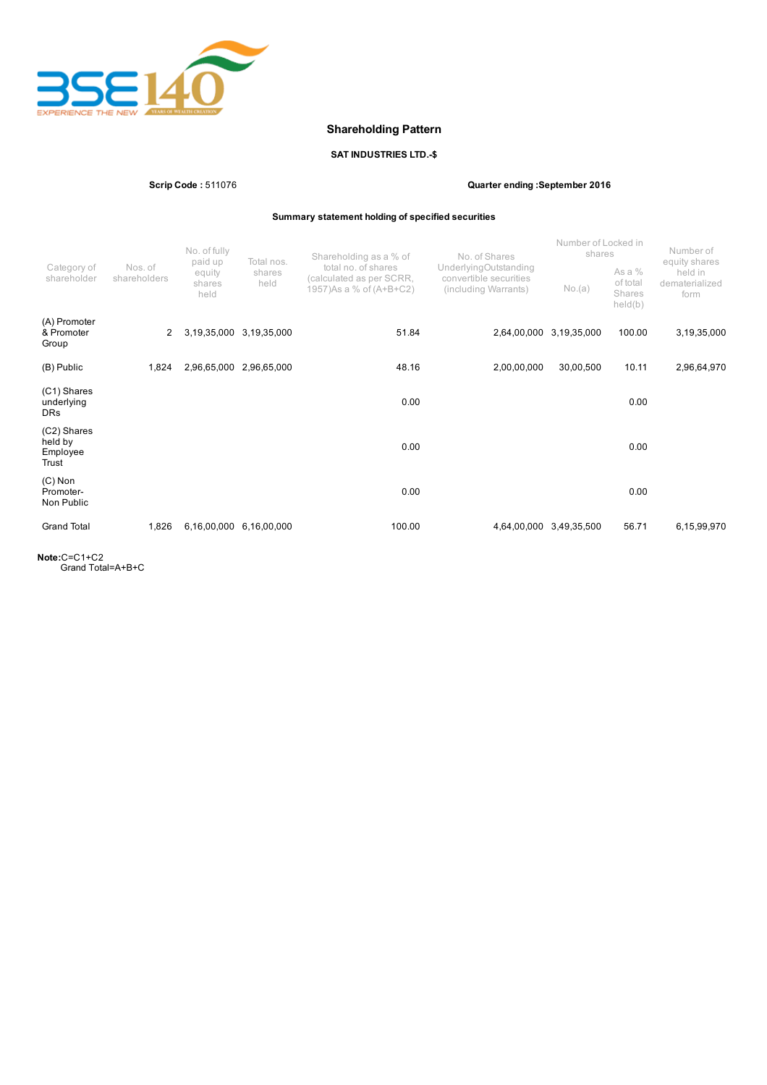

# Shareholding Pattern

## SAT INDUSTRIES LTD.-\$

Scrip Code : 511076 Quarter ending :September 2016

Summary statement holding of specified securities

|                                             |                         | No. of fully<br>paid up<br>equity<br>shares<br>held | Total nos.<br>shares<br>held | Shareholding as a % of                                                      | No. of Shares                                                           | Number of Locked in<br>shares |                                           | Number of<br>equity shares        |
|---------------------------------------------|-------------------------|-----------------------------------------------------|------------------------------|-----------------------------------------------------------------------------|-------------------------------------------------------------------------|-------------------------------|-------------------------------------------|-----------------------------------|
| Category of<br>shareholder                  | Nos. of<br>shareholders |                                                     |                              | total no. of shares<br>(calculated as per SCRR,<br>1957) As a % of (A+B+C2) | UnderlyingOutstanding<br>convertible securities<br>(including Warrants) | No.(a)                        | As a $%$<br>of total<br>Shares<br>held(b) | held in<br>dematerialized<br>form |
| (A) Promoter<br>& Promoter<br>Group         | $\mathbf{2}^{\circ}$    | 3,19,35,000                                         | 3,19,35,000                  | 51.84                                                                       | 2,64,00,000                                                             | 3,19,35,000                   | 100.00                                    | 3,19,35,000                       |
| (B) Public                                  | 1,824                   | 2,96,65,000                                         | 2,96,65,000                  | 48.16                                                                       | 2,00,00,000                                                             | 30,00,500                     | 10.11                                     | 2,96,64,970                       |
| (C1) Shares<br>underlying<br><b>DRs</b>     |                         |                                                     |                              | 0.00                                                                        |                                                                         |                               | 0.00                                      |                                   |
| (C2) Shares<br>held by<br>Employee<br>Trust |                         |                                                     |                              | 0.00                                                                        |                                                                         |                               | 0.00                                      |                                   |
| $(C)$ Non<br>Promoter-<br>Non Public        |                         |                                                     |                              | 0.00                                                                        |                                                                         |                               | 0.00                                      |                                   |
| <b>Grand Total</b>                          | 1,826                   | 6,16,00,000                                         | 6,16,00,000                  | 100.00                                                                      | 4,64,00,000                                                             | 3,49,35,500                   | 56.71                                     | 6,15,99,970                       |

Note:C=C1+C2 Grand Total=A+B+C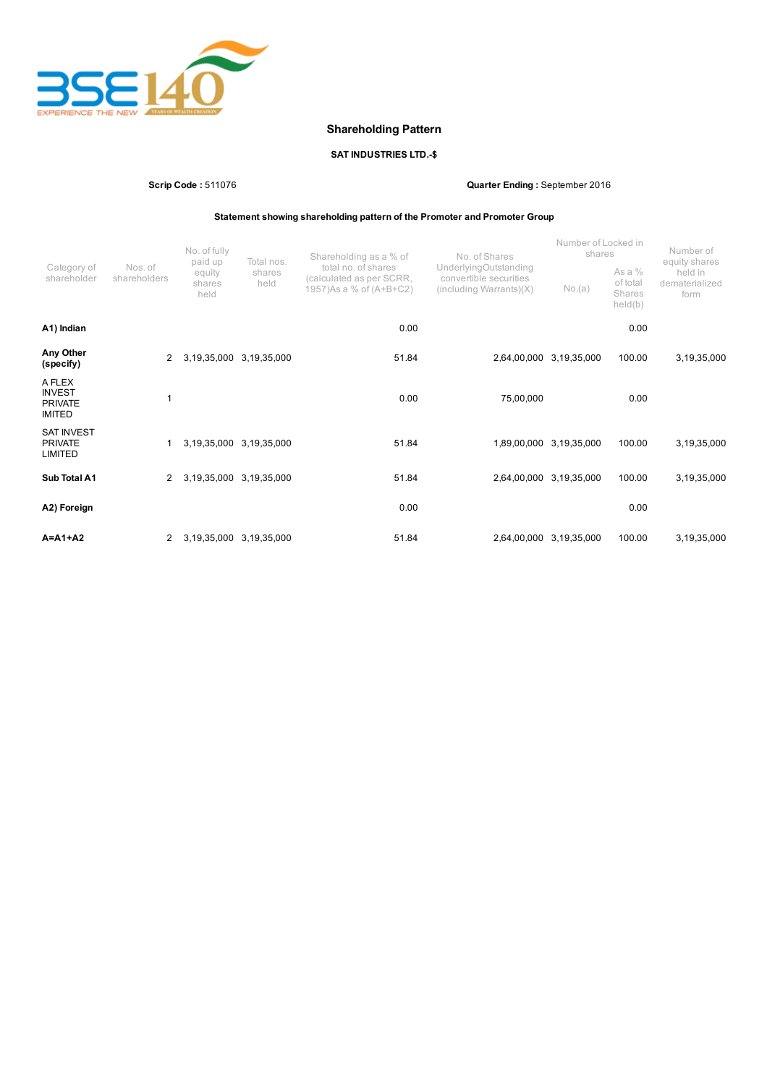

# Shareholding Pattern

## SAT INDUSTRIES LTD.-\$

Scrip Code : 511076 Quarter Ending : September 2016

Statement showing shareholding pattern of the Promoter and Promoter Group

|                                                            |                         | No. of fully<br>paid up  | Total nos.              | Shareholding as a % of                                                      | No. of Shares                                                                          | Number of Locked in<br>shares |                                           | Number of<br>equity shares        |  |
|------------------------------------------------------------|-------------------------|--------------------------|-------------------------|-----------------------------------------------------------------------------|----------------------------------------------------------------------------------------|-------------------------------|-------------------------------------------|-----------------------------------|--|
| Category of<br>shareholder                                 | Nos. of<br>shareholders | equity<br>shares<br>held | shares<br>held          | total no. of shares<br>(calculated as per SCRR,<br>1957) As a % of (A+B+C2) | UnderlyingOutstanding<br>convertible securities<br>$(including \, \text{Warrants})(X)$ | No.(a)                        | As a $%$<br>of total<br>Shares<br>held(b) | held in<br>dematerialized<br>form |  |
| A1) Indian                                                 |                         |                          |                         | 0.00                                                                        |                                                                                        |                               | 0.00                                      |                                   |  |
| Any Other<br>(specify)                                     | 2                       | 3,19,35,000              | 3,19,35,000             | 51.84                                                                       |                                                                                        | 2,64,00,000 3,19,35,000       | 100.00                                    | 3,19,35,000                       |  |
| A FLEX<br><b>INVEST</b><br><b>PRIVATE</b><br><b>IMITED</b> |                         |                          |                         | 0.00                                                                        | 75,00,000                                                                              |                               | 0.00                                      |                                   |  |
| <b>SAT INVEST</b><br><b>PRIVATE</b><br>LIMITED             |                         |                          | 3,19,35,000 3,19,35,000 | 51.84                                                                       |                                                                                        | 1,89,00,000 3,19,35,000       | 100.00                                    | 3,19,35,000                       |  |
| Sub Total A1                                               | $\mathbf{2}^{\circ}$    | 3,19,35,000              | 3,19,35,000             | 51.84                                                                       | 2,64,00,000                                                                            | 3,19,35,000                   | 100.00                                    | 3,19,35,000                       |  |
| A2) Foreign                                                |                         |                          |                         | 0.00                                                                        |                                                                                        |                               | 0.00                                      |                                   |  |
| $A = A1 + A2$                                              | $\mathbf{2}$            |                          | 3,19,35,000 3,19,35,000 | 51.84                                                                       |                                                                                        | 2,64,00,000 3,19,35,000       | 100.00                                    | 3,19,35,000                       |  |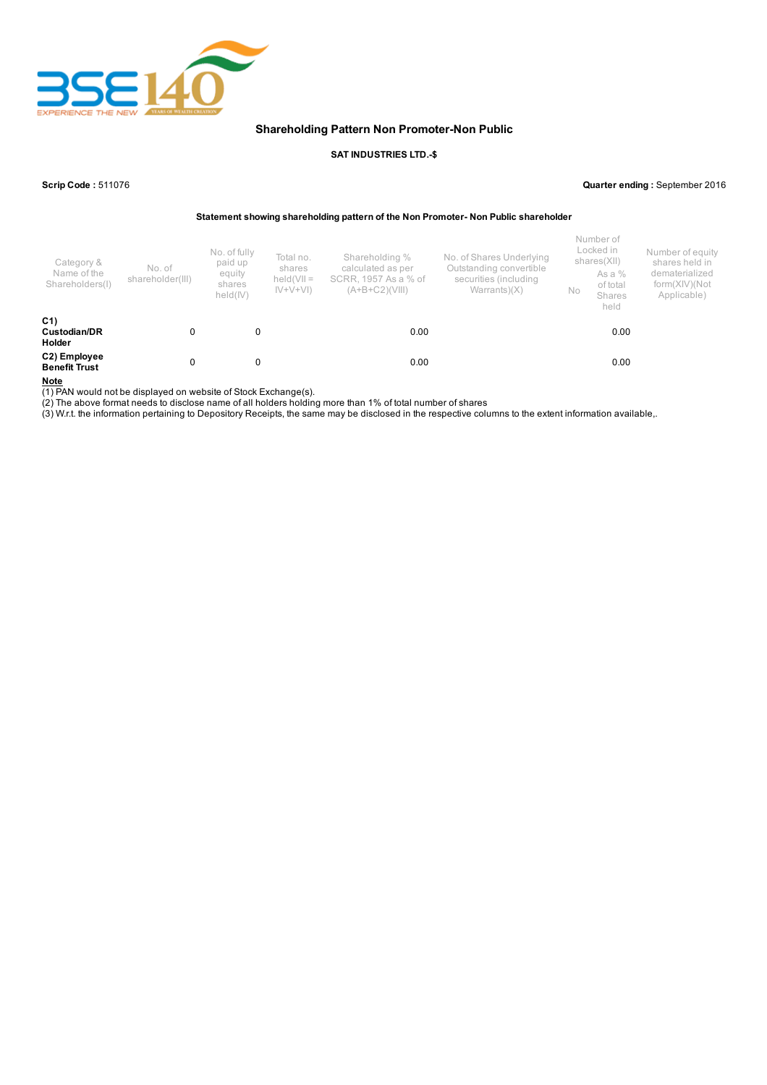

## Shareholding Pattern Non Promoter-Non Public

#### SAT INDUSTRIES LTD.-\$

Scrip Code : 511076 Quarter ending : September 2016

Statement showing shareholding pattern of the Non Promoter- Non Public shareholder

| Category &<br>Name of the<br>Shareholders(I)    | No. of<br>shareholder(III) | No. of fully<br>paid up<br>equity<br>shares<br>held(IV) | Total no.<br>shares<br>$held(VII =$<br>$ V+V+V $ | Shareholding %<br>calculated as per<br>SCRR, 1957 As a % of<br>(A+B+C2)(VIII) | No. of Shares Underlying<br>Outstanding convertible<br>securities (including<br>Warrants $(X)$ | No | Number of<br>Locked in<br>shares(XII)<br>As a %<br>of total<br>Shares<br>held | Number of equity<br>shares held in<br>dematerialized<br>form(XIV)(Not<br>Applicable) |
|-------------------------------------------------|----------------------------|---------------------------------------------------------|--------------------------------------------------|-------------------------------------------------------------------------------|------------------------------------------------------------------------------------------------|----|-------------------------------------------------------------------------------|--------------------------------------------------------------------------------------|
| C <sub>1</sub><br>Custodian/DR<br><b>Holder</b> | 0                          | 0                                                       |                                                  | 0.00                                                                          |                                                                                                |    | 0.00                                                                          |                                                                                      |
| C2) Employee<br><b>Benefit Trust</b>            | 0                          | 0                                                       |                                                  | 0.00                                                                          |                                                                                                |    | 0.00                                                                          |                                                                                      |

Note

(1) PAN would not be displayed on website of Stock Exchange(s).

(2) The above format needs to disclose name of all holders holding more than 1% of total number of shares

(3) W.r.t. the information pertaining to Depository Receipts, the same may be disclosed in the respective columns to the extent information available,.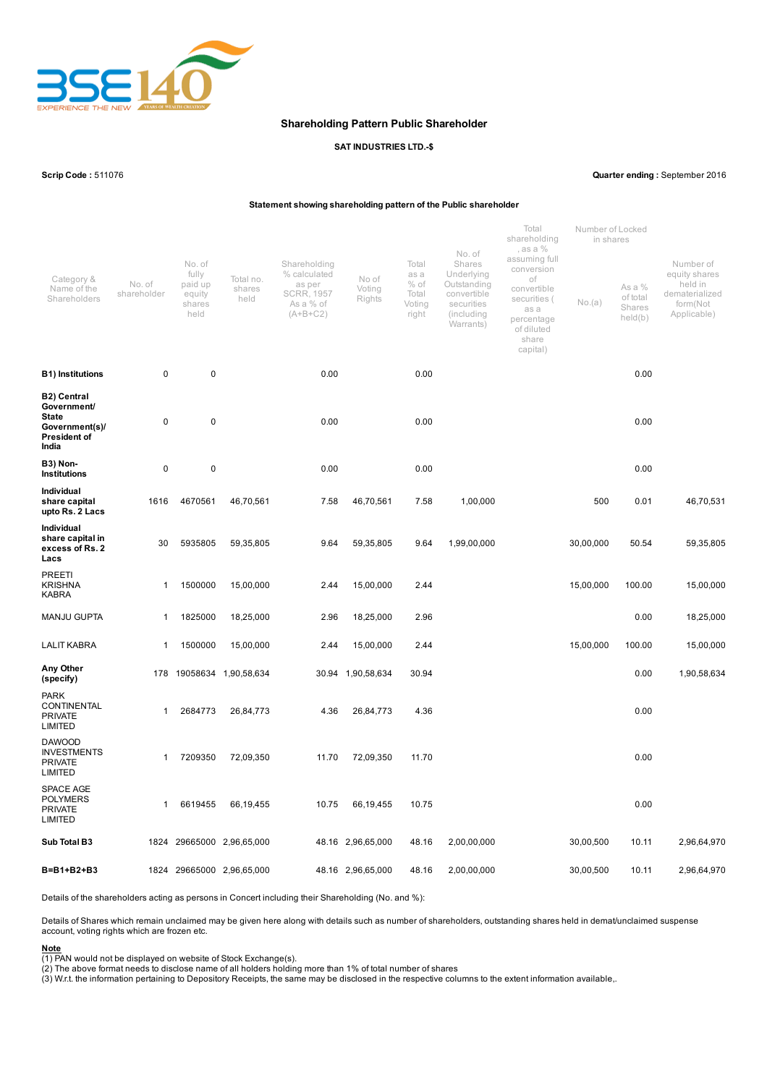

### Shareholding Pattern Public Shareholder

### SAT INDUSTRIES LTD.-\$

Scrip Code : 511076 Quarter ending : September 2016

### Statement showing shareholding pattern of the Public shareholder

| Category &<br>Name of the<br>Shareholders                                                           | No. of<br>shareholder | No. of<br>fully<br>paid up<br>equity<br>shares<br>held | Total no.<br>shares<br>held | Shareholding<br>% calculated<br>as per<br><b>SCRR, 1957</b><br>As a % of<br>$(A+B+C2)$ | No of<br>Voting<br>Rights | Total<br>as a<br>$%$ of<br>Total<br>Voting<br>right | No. of<br>Shares<br>Underlying<br>Outstanding<br>convertible<br>securities<br>(including<br>Warrants) | Total<br>shareholding<br>, as a %<br>assuming full<br>conversion<br>оf<br>convertible<br>securities (<br>as a<br>percentage<br>of diluted<br>share<br>capital) | Number of Locked<br>in shares<br>No.(a) | As a %<br>of total<br>Shares<br>held(b) | Number of<br>equity shares<br>held in<br>dematerialized<br>form(Not<br>Applicable) |
|-----------------------------------------------------------------------------------------------------|-----------------------|--------------------------------------------------------|-----------------------------|----------------------------------------------------------------------------------------|---------------------------|-----------------------------------------------------|-------------------------------------------------------------------------------------------------------|----------------------------------------------------------------------------------------------------------------------------------------------------------------|-----------------------------------------|-----------------------------------------|------------------------------------------------------------------------------------|
| <b>B1)</b> Institutions                                                                             | 0                     | 0                                                      |                             | 0.00                                                                                   |                           | 0.00                                                |                                                                                                       |                                                                                                                                                                |                                         | 0.00                                    |                                                                                    |
| <b>B2) Central</b><br>Government/<br><b>State</b><br>Government(s)/<br><b>President of</b><br>India | 0                     | $\pmb{0}$                                              |                             | 0.00                                                                                   |                           | 0.00                                                |                                                                                                       |                                                                                                                                                                |                                         | 0.00                                    |                                                                                    |
| B3) Non-<br><b>Institutions</b>                                                                     | 0                     | 0                                                      |                             | 0.00                                                                                   |                           | 0.00                                                |                                                                                                       |                                                                                                                                                                |                                         | 0.00                                    |                                                                                    |
| <b>Individual</b><br>share capital<br>upto Rs. 2 Lacs                                               | 1616                  | 4670561                                                | 46,70,561                   | 7.58                                                                                   | 46,70,561                 | 7.58                                                | 1,00,000                                                                                              |                                                                                                                                                                | 500                                     | 0.01                                    | 46,70,531                                                                          |
| Individual<br>share capital in<br>excess of Rs. 2<br>Lacs                                           | 30                    | 5935805                                                | 59,35,805                   | 9.64                                                                                   | 59,35,805                 | 9.64                                                | 1,99,00,000                                                                                           |                                                                                                                                                                | 30,00,000                               | 50.54                                   | 59,35,805                                                                          |
| PREETI<br><b>KRISHNA</b><br><b>KABRA</b>                                                            | 1                     | 1500000                                                | 15,00,000                   | 2.44                                                                                   | 15,00,000                 | 2.44                                                |                                                                                                       |                                                                                                                                                                | 15,00,000                               | 100.00                                  | 15,00,000                                                                          |
| <b>MANJU GUPTA</b>                                                                                  | 1                     | 1825000                                                | 18,25,000                   | 2.96                                                                                   | 18,25,000                 | 2.96                                                |                                                                                                       |                                                                                                                                                                |                                         | 0.00                                    | 18,25,000                                                                          |
| <b>LALIT KABRA</b>                                                                                  | 1                     | 1500000                                                | 15,00,000                   | 2.44                                                                                   | 15,00,000                 | 2.44                                                |                                                                                                       |                                                                                                                                                                | 15,00,000                               | 100.00                                  | 15,00,000                                                                          |
| Any Other<br>(specify)                                                                              | 178                   |                                                        | 19058634 1,90,58,634        |                                                                                        | 30.94 1,90,58,634         | 30.94                                               |                                                                                                       |                                                                                                                                                                |                                         | 0.00                                    | 1,90,58,634                                                                        |
| <b>PARK</b><br>CONTINENTAL<br><b>PRIVATE</b><br><b>LIMITED</b>                                      | 1                     | 2684773                                                | 26,84,773                   | 4.36                                                                                   | 26,84,773                 | 4.36                                                |                                                                                                       |                                                                                                                                                                |                                         | 0.00                                    |                                                                                    |
| <b>DAWOOD</b><br><b>INVESTMENTS</b><br><b>PRIVATE</b><br><b>LIMITED</b>                             | $\mathbf{1}$          | 7209350                                                | 72,09,350                   | 11.70                                                                                  | 72,09,350                 | 11.70                                               |                                                                                                       |                                                                                                                                                                |                                         | 0.00                                    |                                                                                    |
| <b>SPACE AGE</b><br><b>POLYMERS</b><br><b>PRIVATE</b><br><b>LIMITED</b>                             | $\mathbf{1}$          | 6619455                                                | 66,19,455                   | 10.75                                                                                  | 66,19,455                 | 10.75                                               |                                                                                                       |                                                                                                                                                                |                                         | 0.00                                    |                                                                                    |
| Sub Total B3                                                                                        | 1824                  |                                                        | 29665000 2,96,65,000        |                                                                                        | 48.16 2,96,65,000         | 48.16                                               | 2,00,00,000                                                                                           |                                                                                                                                                                | 30,00,500                               | 10.11                                   | 2,96,64,970                                                                        |
| B=B1+B2+B3                                                                                          |                       |                                                        | 1824 29665000 2,96,65,000   |                                                                                        | 48.16 2,96,65,000         | 48.16                                               | 2,00,00,000                                                                                           |                                                                                                                                                                | 30,00,500                               | 10.11                                   | 2,96,64,970                                                                        |

Details of the shareholders acting as persons in Concert including their Shareholding (No. and %):

Details of Shares which remain unclaimed may be given here along with details such as number of shareholders, outstanding shares held in demat/unclaimed suspense account, voting rights which are frozen etc.

<u>Note</u><br>(1) PAN would not be displayed on website of Stock Exchange(s).<br>(2) The above format needs to disclose name of all holders holding more than 1% of total number of shares<br>(3) W.r.t. the information pertaining to Depo